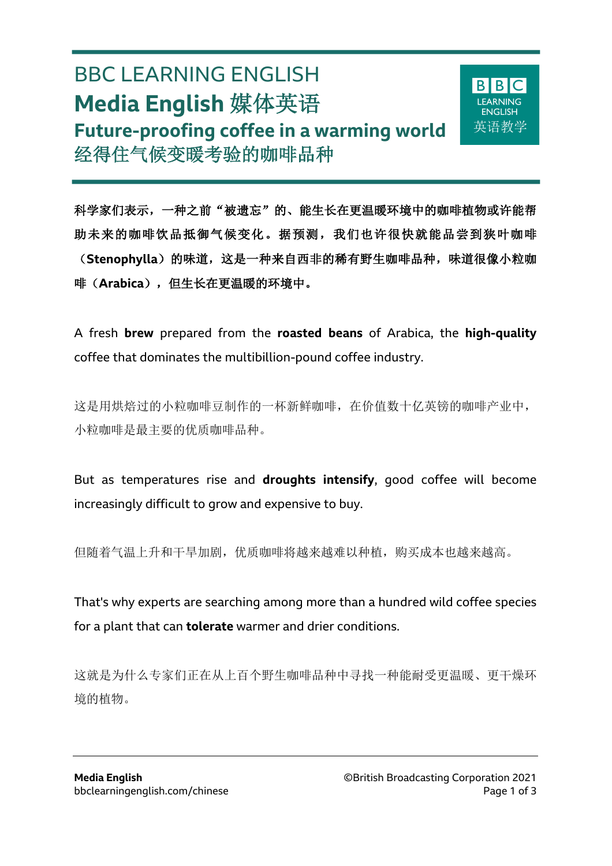# BBC LEARNING ENGLISH **Media English** 媒体英语 **Future-proofing coffee in a warming world** 经得住气候变暖考验的咖啡品种

 $\overline{a}$ 



科学家们表示,一种之前"被遗忘"的、能生长在更温暖环境中的咖啡植物或许能帮 助未来的咖啡饮品抵御气候变化。据预测,我们也许很快就能品尝到狭叶咖啡 (Stenophylla)的味道,这是一种来自西非的稀有野生咖啡品种,味道很像小粒咖 啡(**Arabica**),但生长在更温暖的环境中。

A fresh **brew** prepared from the **roasted beans** of Arabica, the **high-quality** coffee that dominates the multibillion-pound coffee industry.

这是用烘焙过的小粒咖啡豆制作的一杯新鲜咖啡,在价值数十亿英镑的咖啡产业中, 小粒咖啡是最主要的优质咖啡品种。

But as temperatures rise and **droughts intensify**, good coffee will become increasingly difficult to grow and expensive to buy.

但随着气温上升和干旱加剧,优质咖啡将越来越难以种植,购买成本也越来越高。

That's why experts are searching among more than a hundred wild coffee species for a plant that can **tolerate** warmer and drier conditions.

这就是为什么专家们正在从上百个野生咖啡品种中寻找一种能耐受更温暖、更干燥环 境的植物。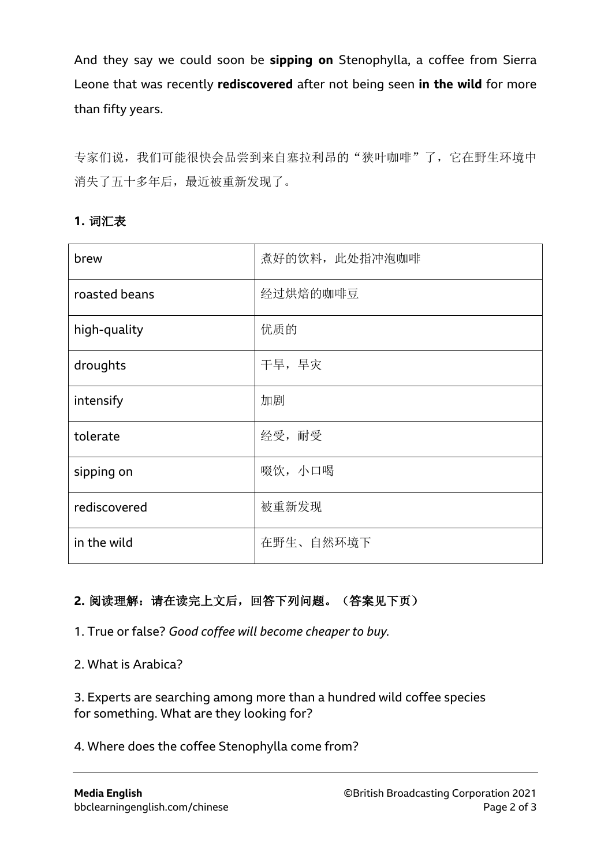And they say we could soon be **sipping on** Stenophylla, a coffee from Sierra Leone that was recently **rediscovered** after not being seen **in the wild** for more than fifty years.

专家们说,我们可能很快会品尝到来自塞拉利昂的"狭叶咖啡"了,它在野生环境中 消失了五十多年后,最近被重新发现了。

## **1.** 词汇表

| brew          | 煮好的饮料, 此处指冲泡咖啡 |
|---------------|----------------|
| roasted beans | 经过烘焙的咖啡豆       |
| high-quality  | 优质的            |
| droughts      | 干旱,旱灾          |
| intensify     | 加剧             |
| tolerate      | 经受, 耐受         |
| sipping on    | 啜饮, 小口喝        |
| rediscovered  | 被重新发现          |
| in the wild   | 在野生、自然环境下      |

## **2.** 阅读理解:请在读完上文后,回答下列问题。(答案见下页)

1. True or false? *Good coffee will become cheaper to buy.*

2. What is Arabica?

3. Experts are searching among more than a hundred wild coffee species for something. What are they looking for?

#### 4. Where does the coffee Stenophylla come from?